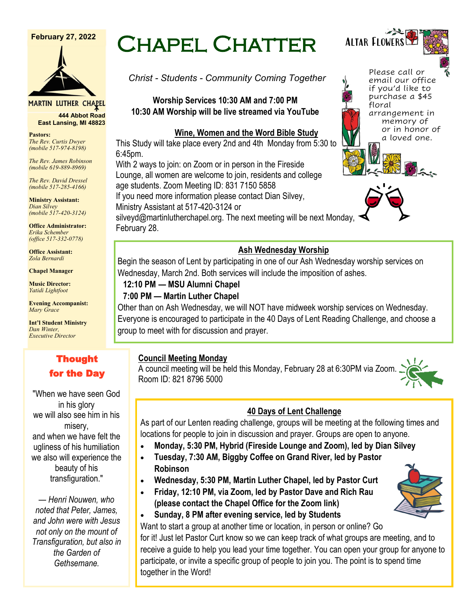#### **February 27, 2022**



**MARTIN LUTHER CHAPEL** 

**444 Abbot Road East Lansing, MI 48823**

**Pastors:** *The Rev. Curtis Dwyer (mobile 517-974-8198)*

*The Rev. James Robinson (mobile 619-889-8969)*

*The Rev. David Dressel (mobile 517-285-4166)*

**Ministry Assistant:**  *Dian Silvey (mobile 517-420-3124)*

**Office Administrator:** *Erika Schember (office 517-332-0778)*

**Office Assistant:** *Zola Bernardi*

**Chapel Manager** 

**Music Director:** *Yatidi Lightfoot* 

**Evening Accompanist:** *Mary Grace*

**Int'l Student Ministry** *Dan Winter, Executive Director*

# Thought for the Day

"When we have seen God in his glory we will also see him in his misery, and when we have felt the ugliness of his humiliation we also will experience the beauty of his transfiguration."

*— Henri Nouwen, who noted that Peter, James, and John were with Jesus not only on the mount of Transfiguration, but also in the Garden of Gethsemane.*

# Chapel Chatter

*Christ - Students - Community Coming Together*

**Worship Services 10:30 AM and 7:00 PM 10:30 AM Worship will be live streamed via YouTube**

#### **Wine, Women and the Word Bible Study**

This Study will take place every 2nd and 4th Monday from 5:30 to 6:45pm.

With 2 ways to join: on Zoom or in person in the Fireside Lounge, all women are welcome to join, residents and college age students. Zoom Meeting ID: 831 7150 5858

If you need more information please contact Dian Silvey, Ministry Assistant at 517-420-3124 or

silveyd@martinlutherchapel.org. The next meeting will be next Monday, February 28.

#### **Ash Wednesday Worship**

Begin the season of Lent by participating in one of our Ash Wednesday worship services on Wednesday, March 2nd. Both services will include the imposition of ashes.

# **12:10 PM — MSU Alumni Chapel**

#### **7:00 PM — Martin Luther Chapel**

Other than on Ash Wednesday, we will NOT have midweek worship services on Wednesday. Everyone is encouraged to participate in the 40 Days of Lent Reading Challenge, and choose a group to meet with for discussion and prayer.

#### **Council Meeting Monday**

A council meeting will be held this Monday, February 28 at 6:30PM via Zoom. Room ID: 821 8796 5000



#### **40 Days of Lent Challenge**

As part of our Lenten reading challenge, groups will be meeting at the following times and locations for people to join in discussion and prayer. Groups are open to anyone.

- **Monday, 5:30 PM, Hybrid (Fireside Lounge and Zoom), led by Dian Silvey**
- **Tuesday, 7:30 AM, Biggby Coffee on Grand River, led by Pastor Robinson**
- **Wednesday, 5:30 PM, Martin Luther Chapel, led by Pastor Curt**
- **Friday, 12:10 PM, via Zoom, led by Pastor Dave and Rich Rau (please contact the Chapel Office for the Zoom link)**



Want to start a group at another time or location, in person or online? Go for it! Just let Pastor Curt know so we can keep track of what groups are meeting, and to receive a guide to help you lead your time together. You can open your group for anyone to participate, or invite a specific group of people to join you. The point is to spend time together in the Word!





floral

Please call or email our office if you'd like to purchase a \$45

arrangement in memory of or in honor of a loved one.